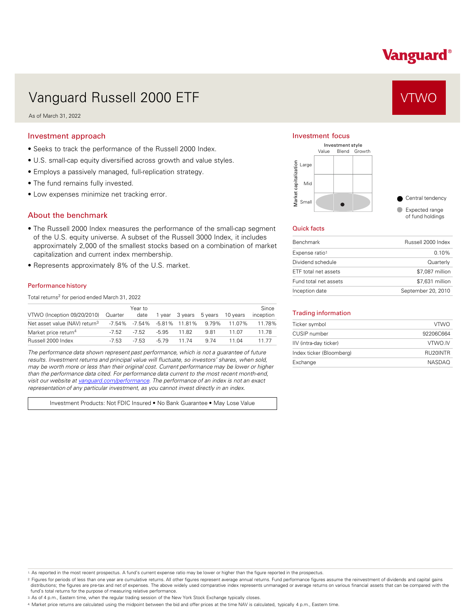# Vanguard®

# Vanguard Russell 2000 ETF Vanguard Russell 2000 ETF

As of March 31, 2022

### Investment approach

- Seeks to track the performance of the Russell 2000 Index.
- U.S. small-cap equity diversified across growth and value styles.
- Employs a passively managed, full-replication strategy.
- The fund remains fully invested.
- Low expenses minimize net tracking error.

## About the benchmark

- The Russell 2000 Index measures the performance of the small-cap segment of the U.S. equity universe. A subset of the Russell 3000 Index, it includes approximately 2,000 of the smallest stocks based on a combination of market capitalization and current index membership.
- Represents approximately 8% of the U.S. market.

#### Performance history

Total returns<sup>2</sup> for period ended March 31, 2022

|                                           |         | Year to |        |                        |                                            |          | Since     |
|-------------------------------------------|---------|---------|--------|------------------------|--------------------------------------------|----------|-----------|
| VTWO (Inception 09/20/2010) Quarter       |         | date    |        | 1 year 3 years 5 years |                                            | 10 vears | inception |
| Net asset value (NAV) return <sup>3</sup> |         |         |        |                        | $-7.54\%$ $-7.54\%$ $-5.81\%$ 11.81% 9.79% | 11 07%   | 11 78%    |
| Market price return <sup>4</sup>          | $-7.52$ | $-7.52$ | -5.95  | 11.82                  | 9.81                                       | 11.07    | 11.78     |
| Russell 2000 Index                        | $-7.53$ | $-7.53$ | $-579$ | 11 74                  | 9.74                                       | 11 Q4    | 11 77     |

*The performance data shown represent past performance, which is not a guarantee of future results. Investment returns and principal value will fluctuate, so investors' shares, when sold, may be worth more or less than their original cost. Current performance may be lower or higher than the performance data cited. For performance data current to the most recent month-end, visit our website at [vanguard.com/performance .](http://www.vanguard.com/performance) The performance of an index is not an exact representation of any particular investment, as you cannot invest directly in an index.* 

Investment Products: Not FDIC Insured • No Bank Guarantee • May Lose Value

### Investment focus



#### Quick facts

| <b>Benchmark</b>      | Russell 2000 Index |
|-----------------------|--------------------|
| Expense ratio1        | $0.10\%$           |
| Dividend schedule     | Quarterly          |
| ETF total net assets  | \$7,087 million    |
| Fund total net assets | \$7,631 million    |
| Inception date        | September 20, 2010 |

#### Trading information

| Ticker symbol            | <b>VTWO</b>   |
|--------------------------|---------------|
| CUSIP number             | 92206C664     |
| IIV (intra-day ticker)   | VTWO.IV       |
| Index ticker (Bloomberg) | RU20INTR      |
| Exchange                 | <b>NASDAO</b> |

1. As reported in the most recent prospectus. A fund's current expense ratio may be lower or higher than the figure reported in the prospectus.

2. Figures for periods of less than one year are cumulative returns. All other figures represent average annual returns. Fund performance figures assume the reinvestment of dividends and capital gains distributions; the figures are pre-tax and net of expenses. The above widely used comparative index represents unmanaged or average returns on various financial assets that can be compared with the fund's total returns for the purpose of measuring relative performance.

3. As of 4 p.m., Eastern time, when the regular trading session of the New York Stock Exchange typically closes.

4. Market price returns are calculated using the midpoint between the bid and offer prices at the time NAV is calculated, typically 4 p.m., Eastern time.